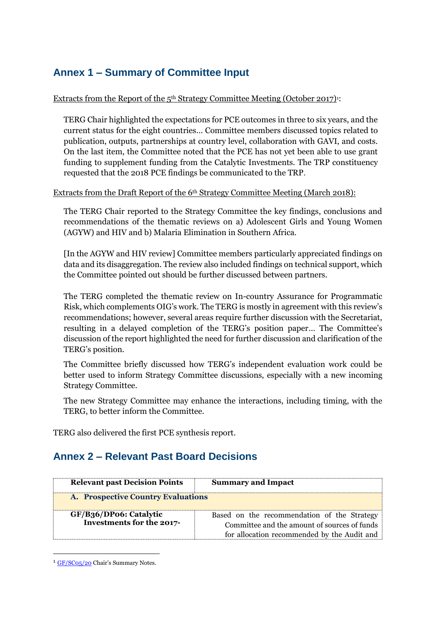# **Annex 1 – Summary of Committee Input**

#### Extracts from the Report of the  $5<sup>th</sup>$  Strategy Committee Meeting (October 2017)<sup>1</sup>:

TERG Chair highlighted the expectations for PCE outcomes in three to six years, and the current status for the eight countries… Committee members discussed topics related to publication, outputs, partnerships at country level, collaboration with GAVI, and costs. On the last item, the Committee noted that the PCE has not yet been able to use grant funding to supplement funding from the Catalytic Investments. The TRP constituency requested that the 2018 PCE findings be communicated to the TRP.

### Extracts from the Draft Report of the 6<sup>th</sup> Strategy Committee Meeting (March 2018):

The TERG Chair reported to the Strategy Committee the key findings, conclusions and recommendations of the thematic reviews on a) Adolescent Girls and Young Women (AGYW) and HIV and b) Malaria Elimination in Southern Africa.

[In the AGYW and HIV review] Committee members particularly appreciated findings on data and its disaggregation. The review also included findings on technical support, which the Committee pointed out should be further discussed between partners.

The TERG completed the thematic review on In-country Assurance for Programmatic Risk, which complements OIG's work. The TERG is mostly in agreement with this review's recommendations; however, several areas require further discussion with the Secretariat, resulting in a delayed completion of the TERG's position paper… The Committee's discussion of the report highlighted the need for further discussion and clarification of the TERG's position.

The Committee briefly discussed how TERG's independent evaluation work could be better used to inform Strategy Committee discussions, especially with a new incoming Strategy Committee.

The new Strategy Committee may enhance the interactions, including timing, with the TERG, to better inform the Committee.

TERG also delivered the first PCE synthesis report.

### **Annex 2 – Relevant Past Board Decisions**

| <b>Relevant past Decision Points</b>                | <b>Summary and Impact</b>                                                                                                                  |
|-----------------------------------------------------|--------------------------------------------------------------------------------------------------------------------------------------------|
| A. Prospective Country Evaluations                  |                                                                                                                                            |
| GF/B36/DP06: Catalytic<br>Investments for the 2017- | Based on the recommendation of the Strategy<br>Committee and the amount of sources of funds<br>for allocation recommended by the Audit and |

<sup>&</sup>lt;sup>1</sup> [GF/SC05/20](https://tgf.sharepoint.com/sites/ESOBA1/GFBC/StrategyCommitteeSC/SC%20Meetings/5th%20SC%20Meeting%2011-13%20October%202017/GF%20SC05%2020%20Chair) Chair's Summary Notes.

**.**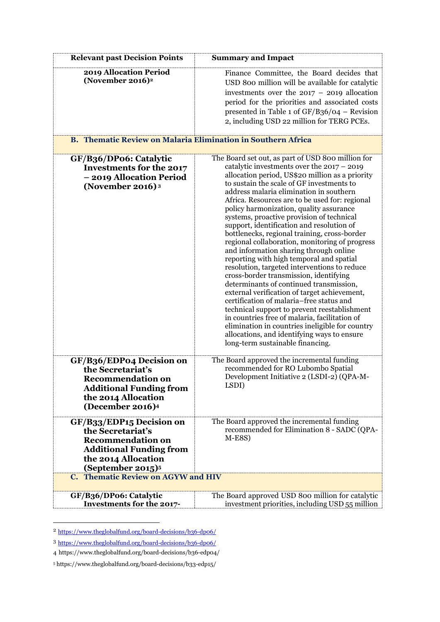| <b>Relevant past Decision Points</b>                                                                                                                                                                      | <b>Summary and Impact</b>                                                                                                                                                                                                                                                                                                                                                                                                                                                                                                                                                                                                                                                                                                                                                                                                                                                                                                                                                                                                                                                                           |  |
|-----------------------------------------------------------------------------------------------------------------------------------------------------------------------------------------------------------|-----------------------------------------------------------------------------------------------------------------------------------------------------------------------------------------------------------------------------------------------------------------------------------------------------------------------------------------------------------------------------------------------------------------------------------------------------------------------------------------------------------------------------------------------------------------------------------------------------------------------------------------------------------------------------------------------------------------------------------------------------------------------------------------------------------------------------------------------------------------------------------------------------------------------------------------------------------------------------------------------------------------------------------------------------------------------------------------------------|--|
| 2019 Allocation Period<br>(November 2016) $2$                                                                                                                                                             | Finance Committee, the Board decides that<br>USD 800 million will be available for catalytic<br>investments over the $2017 - 2019$ allocation<br>period for the priorities and associated costs<br>presented in Table 1 of $GF/B36/O4$ – Revision<br>2, including USD 22 million for TERG PCEs.                                                                                                                                                                                                                                                                                                                                                                                                                                                                                                                                                                                                                                                                                                                                                                                                     |  |
| <b>B. Thematic Review on Malaria Elimination in Southern Africa</b>                                                                                                                                       |                                                                                                                                                                                                                                                                                                                                                                                                                                                                                                                                                                                                                                                                                                                                                                                                                                                                                                                                                                                                                                                                                                     |  |
| GF/B36/DP06: Catalytic<br><b>Investments for the 2017</b><br>- 2019 Allocation Period<br>(November 2016) $3$                                                                                              | The Board set out, as part of USD 800 million for<br>catalytic investments over the $2017 - 2019$<br>allocation period, US\$20 million as a priority<br>to sustain the scale of GF investments to<br>address malaria elimination in southern<br>Africa. Resources are to be used for: regional<br>policy harmonization, quality assurance<br>systems, proactive provision of technical<br>support, identification and resolution of<br>bottlenecks, regional training, cross-border<br>regional collaboration, monitoring of progress<br>and information sharing through online<br>reporting with high temporal and spatial<br>resolution, targeted interventions to reduce<br>cross-border transmission, identifying<br>determinants of continued transmission,<br>external verification of target achievement,<br>certification of malaria-free status and<br>technical support to prevent reestablishment<br>in countries free of malaria, facilitation of<br>elimination in countries ineligible for country<br>allocations, and identifying ways to ensure<br>long-term sustainable financing. |  |
| GF/B36/EDP04 Decision on<br>the Secretariat's<br><b>Recommendation on</b><br><b>Additional Funding from</b><br>the 2014 Allocation<br>(December 2016) <sup>4</sup>                                        | The Board approved the incremental funding<br>recommended for RO Lubombo Spatial<br>Development Initiative 2 (LSDI-2) (QPA-M-<br>LSDI)                                                                                                                                                                                                                                                                                                                                                                                                                                                                                                                                                                                                                                                                                                                                                                                                                                                                                                                                                              |  |
| GF/B33/EDP15 Decision on<br>the Secretariat's<br><b>Recommendation on</b><br><b>Additional Funding from</b><br>the 2014 Allocation<br>(September 2015) <sup>5</sup><br>C. Thematic Review on AGYW and HIV | The Board approved the incremental funding<br>recommended for Elimination 8 - SADC (QPA-<br>$M-E8S$                                                                                                                                                                                                                                                                                                                                                                                                                                                                                                                                                                                                                                                                                                                                                                                                                                                                                                                                                                                                 |  |
|                                                                                                                                                                                                           |                                                                                                                                                                                                                                                                                                                                                                                                                                                                                                                                                                                                                                                                                                                                                                                                                                                                                                                                                                                                                                                                                                     |  |
| GF/B36/DP06: Catalytic<br>Investments for the 2017-                                                                                                                                                       | The Board approved USD 800 million for catalytic<br>investment priorities, including USD 55 million                                                                                                                                                                                                                                                                                                                                                                                                                                                                                                                                                                                                                                                                                                                                                                                                                                                                                                                                                                                                 |  |

<sup>2</sup> <https://www.theglobalfund.org/board-decisions/b36-dp06/>

 $\overline{a}$ 

<sup>3</sup> <https://www.theglobalfund.org/board-decisions/b36-dp06/>

<sup>4</sup> https://www.theglobalfund.org/board-decisions/b36-edp04/

<sup>5</sup> https://www.theglobalfund.org/board-decisions/b33-edp15/